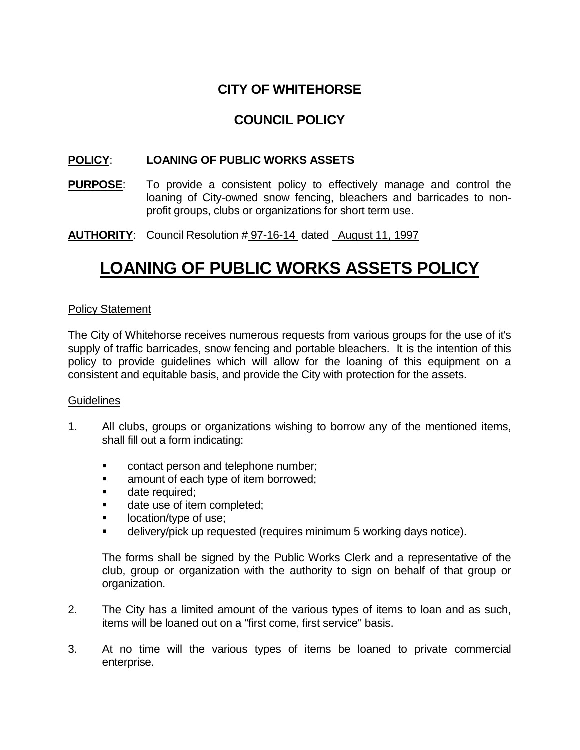## **CITY OF WHITEHORSE**

## **COUNCIL POLICY**

### **POLICY**: **LOANING OF PUBLIC WORKS ASSETS**

- **PURPOSE**: To provide a consistent policy to effectively manage and control the loaning of City-owned snow fencing, bleachers and barricades to nonprofit groups, clubs or organizations for short term use.
- **AUTHORITY**: Council Resolution # 97-16-14 dated August 11, 1997

# **LOANING OF PUBLIC WORKS ASSETS POLICY**

### Policy Statement

The City of Whitehorse receives numerous requests from various groups for the use of it's supply of traffic barricades, snow fencing and portable bleachers. It is the intention of this policy to provide guidelines which will allow for the loaning of this equipment on a consistent and equitable basis, and provide the City with protection for the assets.

#### **Guidelines**

- 1. All clubs, groups or organizations wishing to borrow any of the mentioned items, shall fill out a form indicating:
	- **EXECONTER 1** contact person and telephone number;
	- **amount of each type of item borrowed;**
	- **date required:**
	- date use of item completed;
	- location/type of use;
	- delivery/pick up requested (requires minimum 5 working days notice).

The forms shall be signed by the Public Works Clerk and a representative of the club, group or organization with the authority to sign on behalf of that group or organization.

- 2. The City has a limited amount of the various types of items to loan and as such, items will be loaned out on a "first come, first service" basis.
- 3. At no time will the various types of items be loaned to private commercial enterprise.